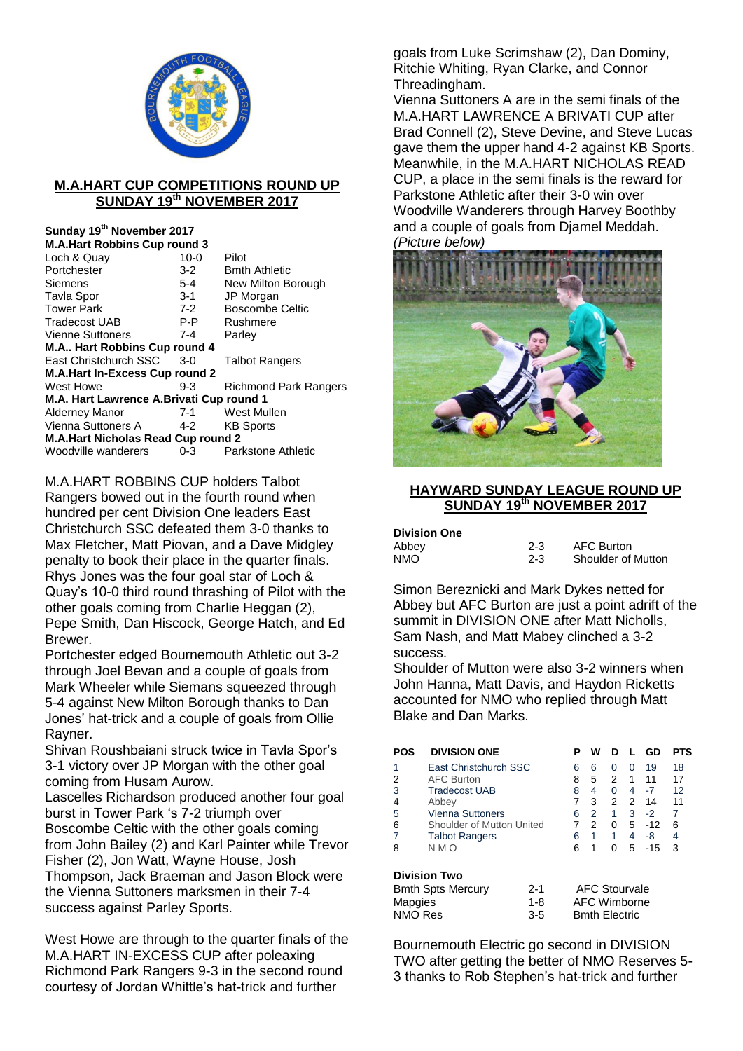

## **M.A.HART CUP COMPETITIONS ROUND UP SUNDAY 19th NOVEMBER 2017**

#### **Sunday 19th November 2017 M.A.Hart Robbins Cup round 3**

| M.A.Hart RODDINS CUD TOUNG 3              |          |                              |
|-------------------------------------------|----------|------------------------------|
| Loch & Quay                               | $10 - 0$ | Pilot                        |
| Portchester                               | $3 - 2$  | <b>Bmth Athletic</b>         |
| Siemens                                   | 5-4      | New Milton Borough           |
| Tavla Spor                                | 3-1      | JP Morgan                    |
| Tower Park                                | $7-2$    | <b>Boscombe Celtic</b>       |
| Tradecost UAB                             | P-P      | Rushmere                     |
| Vienne Suttoners                          | $7 - 4$  | Parley                       |
| M.A Hart Robbins Cup round 4              |          |                              |
| East Christchurch SSC                     | 3-0      | <b>Talbot Rangers</b>        |
| M.A.Hart In-Excess Cup round 2            |          |                              |
| West Howe                                 | 9-3      | <b>Richmond Park Rangers</b> |
| M.A. Hart Lawrence A.Brivati Cup round 1  |          |                              |
| Alderney Manor                            | 7-1      | West Mullen                  |
| Vienna Suttoners A                        | 4-2      | <b>KB Sports</b>             |
| <b>M.A.Hart Nicholas Read Cup round 2</b> |          |                              |
| Woodville wanderers                       | 0-3      | Parkstone Athletic           |
|                                           |          |                              |

M.A.HART ROBBINS CUP holders Talbot Rangers bowed out in the fourth round when hundred per cent Division One leaders East Christchurch SSC defeated them 3-0 thanks to Max Fletcher, Matt Piovan, and a Dave Midgley penalty to book their place in the quarter finals. Rhys Jones was the four goal star of Loch & Quay's 10-0 third round thrashing of Pilot with the other goals coming from Charlie Heggan (2), Pepe Smith, Dan Hiscock, George Hatch, and Ed Brewer.

Portchester edged Bournemouth Athletic out 3-2 through Joel Bevan and a couple of goals from Mark Wheeler while Siemans squeezed through 5-4 against New Milton Borough thanks to Dan Jones' hat-trick and a couple of goals from Ollie Rayner.

Shivan Roushbaiani struck twice in Tavla Spor's 3-1 victory over JP Morgan with the other goal coming from Husam Aurow.

Lascelles Richardson produced another four goal burst in Tower Park 's 7-2 triumph over Boscombe Celtic with the other goals coming from John Bailey (2) and Karl Painter while Trevor Fisher (2), Jon Watt, Wayne House, Josh Thompson, Jack Braeman and Jason Block were the Vienna Suttoners marksmen in their 7-4 success against Parley Sports.

West Howe are through to the quarter finals of the M.A.HART IN-EXCESS CUP after poleaxing Richmond Park Rangers 9-3 in the second round courtesy of Jordan Whittle's hat-trick and further

goals from Luke Scrimshaw (2), Dan Dominy, Ritchie Whiting, Ryan Clarke, and Connor Threadingham.

Vienna Suttoners A are in the semi finals of the M.A.HART LAWRENCE A BRIVATI CUP after Brad Connell (2), Steve Devine, and Steve Lucas gave them the upper hand 4-2 against KB Sports. Meanwhile, in the M.A.HART NICHOLAS READ CUP, a place in the semi finals is the reward for Parkstone Athletic after their 3-0 win over Woodville Wanderers through Harvey Boothby and a couple of goals from Djamel Meddah. *(Picture below)*



# **HAYWARD SUNDAY LEAGUE ROUND UP SUNDAY 19th NOVEMBER 2017**

| <b>Division One</b> |         |                           |
|---------------------|---------|---------------------------|
| Abbey               | $2 - 3$ | <b>AFC Burton</b>         |
| NMO                 | $2 - 3$ | <b>Shoulder of Mutton</b> |

Simon Bereznicki and Mark Dykes netted for Abbey but AFC Burton are just a point adrift of the summit in DIVISION ONE after Matt Nicholls, Sam Nash, and Matt Mabey clinched a 3-2 success.

Shoulder of Mutton were also 3-2 winners when John Hanna, Matt Davis, and Haydon Ricketts accounted for NMO who replied through Matt Blake and Dan Marks.

| POS                      | <b>DIVISION ONE</b>       | Р | w | n |   | GD    | PTS |
|--------------------------|---------------------------|---|---|---|---|-------|-----|
|                          | East Christchurch SSC     | 6 | 6 | 0 | 0 | 19    | 18  |
| 2                        | <b>AFC Burton</b>         | 8 | 5 | 2 | 1 | 11    | 17  |
| 3                        | <b>Tradecost UAB</b>      | 8 | 4 | 0 | 4 | $-7$  | 12  |
| 4                        | Abbey                     |   | 3 | 2 | 2 | 14    | 11  |
| 5                        | <b>Vienna Suttoners</b>   | 6 | 2 | 1 | 3 | $-2$  | 7   |
| 6                        | Shoulder of Mutton United |   | 2 | 0 | 5 | $-12$ | 6   |
|                          | <b>Talbot Rangers</b>     | 6 | 1 | 1 | 4 | -8    | 4   |
| 8                        | N M O                     | 6 | 1 | 0 | 5 | $-15$ | 3   |
| <b>Division Two</b><br>. |                           |   |   |   |   |       |     |

| <b>Bmth Spts Mercury</b> | $2 - 1$ | <b>AFC Stourvale</b> |
|--------------------------|---------|----------------------|
| Mapgies                  | 1-8     | AFC Wimborne         |
| NMO Res                  | $3 - 5$ | <b>Bmth Electric</b> |

Bournemouth Electric go second in DIVISION TWO after getting the better of NMO Reserves 5- 3 thanks to Rob Stephen's hat-trick and further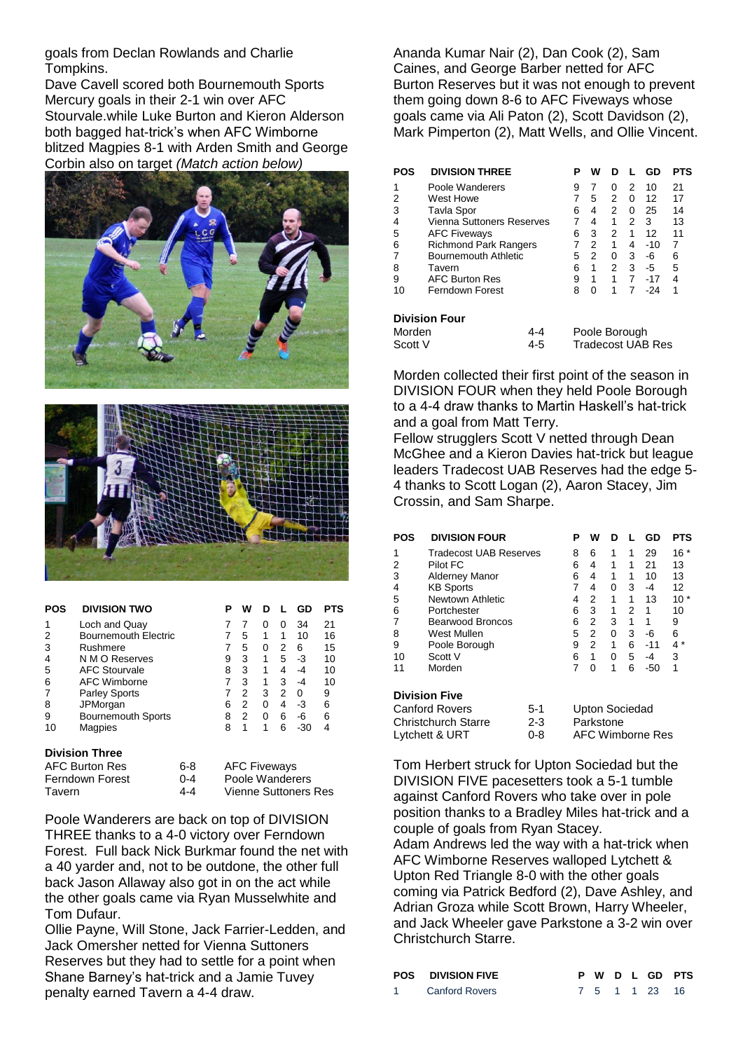goals from Declan Rowlands and Charlie Tompkins.

Dave Cavell scored both Bournemouth Sports Mercury goals in their 2-1 win over AFC Stourvale.while Luke Burton and Kieron Alderson both bagged hat-trick's when AFC Wimborne blitzed Magpies 8-1 with Arden Smith and George Corbin also on target *(Match action below)*





| POS | <b>DIVISION TWO</b>         | Р | w |   |              | GD  | PTS |
|-----|-----------------------------|---|---|---|--------------|-----|-----|
| 1   | Loch and Quay               |   |   | 0 | $\mathbf{0}$ | 34  | 21  |
| 2   | <b>Bournemouth Electric</b> |   | 5 | 1 | 1            | 10  | 16  |
| 3   | Rushmere                    |   | 5 | 0 | 2            | 6   | 15  |
| 4   | N M O Reserves              | 9 | 3 | 1 | 5            | -3  | 10  |
| 5   | <b>AFC Stourvale</b>        | 8 | 3 | 1 | 4            | -4  | 10  |
| 6   | AFC Wimborne                |   | 3 | 1 | 3            | -4  | 10  |
|     | <b>Parley Sports</b>        |   | 2 | 3 | 2            | O   | 9   |
| 8   | JPMorgan                    | 6 | 2 | 0 | 4            | -3  | 6   |
| 9   | <b>Bournemouth Sports</b>   | 8 | 2 | 0 | 6            | -6  | 6   |
| 10  | Magpies                     | 8 | 1 | 1 | 6            | -30 | 4   |

### **Division Three**

| AFC Burton Res  | 6-8     | <b>AFC Fiveways</b>         |
|-----------------|---------|-----------------------------|
| Ferndown Forest | $0 - 4$ | Poole Wanderers             |
| Tavern          | 4-4     | <b>Vienne Suttoners Res</b> |

Poole Wanderers are back on top of DIVISION THREE thanks to a 4-0 victory over Ferndown Forest. Full back Nick Burkmar found the net with a 40 yarder and, not to be outdone, the other full back Jason Allaway also got in on the act while the other goals came via Ryan Musselwhite and Tom Dufaur.

Ollie Payne, Will Stone, Jack Farrier-Ledden, and Jack Omersher netted for Vienna Suttoners Reserves but they had to settle for a point when Shane Barney's hat-trick and a Jamie Tuvey penalty earned Tavern a 4-4 draw.

Ananda Kumar Nair (2), Dan Cook (2), Sam Caines, and George Barber netted for AFC Burton Reserves but it was not enough to prevent them going down 8-6 to AFC Fiveways whose goals came via Ali Paton (2), Scott Davidson (2), Mark Pimperton (2), Matt Wells, and Ollie Vincent.

| POS     | <b>DIVISION THREE</b>        |     | Р                        | w        |   |   | GD    | <b>PTS</b> |
|---------|------------------------------|-----|--------------------------|----------|---|---|-------|------------|
|         | Poole Wanderers              |     | 9                        | 7        | 0 | 2 | 10    | 21         |
| 2       | West Howe                    |     | 7                        | 5        | 2 | 0 | 12    | 17         |
| 3       | Tavla Spor                   |     | 6                        | 4        | 2 | 0 | 25    | 14         |
| 4       | Vienna Suttoners Reserves    |     | 7                        | 4        | 1 | 2 | 3     | 13         |
| 5       | <b>AFC Fiveways</b>          |     | 6                        | 3        | 2 | 1 | 12    | 11         |
| 6       | <b>Richmond Park Rangers</b> |     | 7                        | 2        | 1 | 4 | $-10$ | 7          |
|         | <b>Bournemouth Athletic</b>  |     | 5                        | 2        | 0 | 3 | -6    | 6          |
| 8       | Tavern                       |     | 6                        | 1        | 2 | 3 | -5    | 5          |
| 9       | <b>AFC Burton Res</b>        |     | 9                        | 1        | 1 | 7 | $-17$ | 4          |
| 10      | Ferndown Forest              |     | 8                        | $\Omega$ | 1 | 7 | -24   | 1          |
|         | <b>Division Four</b>         |     |                          |          |   |   |       |            |
| Morden  |                              | 4-4 | Poole Borough            |          |   |   |       |            |
| Scott V | 4-5                          |     | <b>Tradecost UAB Res</b> |          |   |   |       |            |

Morden collected their first point of the season in DIVISION FOUR when they held Poole Borough to a 4-4 draw thanks to Martin Haskell's hat-trick and a goal from Matt Terry.

Fellow strugglers Scott V netted through Dean McGhee and a Kieron Davies hat-trick but league leaders Tradecost UAB Reserves had the edge 5- 4 thanks to Scott Logan (2), Aaron Stacey, Jim Crossin, and Sam Sharpe.

| <b>POS</b> | <b>DIVISION FOUR</b>          |       | Р | w              |   |   | GD    | <b>PTS</b> |
|------------|-------------------------------|-------|---|----------------|---|---|-------|------------|
|            | <b>Tradecost UAB Reserves</b> |       | 8 | 6              | 1 | 1 | 29    | $16*$      |
| 2          | Pilot FC                      |       | 6 | 4              | 1 | 1 | 21    | 13         |
| 3          | <b>Alderney Manor</b>         |       | 6 | 4              | 1 | 1 | 10    | 13         |
| 4          | <b>KB Sports</b>              |       | 7 | 4              | 0 | 3 | -4    | 12         |
| 5          | Newtown Athletic              |       | 4 | 2              | 1 | 1 | 13    | 10 *       |
| 6          | Portchester                   |       | 6 | 3              | 1 | 2 | 1     | 10         |
|            | Bearwood Broncos              |       | 6 | 2              | 3 | 1 | 1     | 9          |
| 8          | West Mullen                   |       | 5 | 2              | 0 | 3 | -6    | 6          |
| 9          | Poole Borough                 |       | 9 | 2              | 1 | 6 | $-11$ | 4 *        |
| 10         | Scott V                       |       | 6 | 1              | 0 | 5 | -4    | 3          |
| 11         | Morden                        |       | 7 | 0              | 1 | 6 | $-50$ | 1          |
|            | <b>Division Five</b>          |       |   |                |   |   |       |            |
|            | Canford Rovers                | $5-1$ |   | Unton Sociedad |   |   |       |            |

| Canford Rovers      | $5-1$   | Upton Sociedad   |
|---------------------|---------|------------------|
| Christchurch Starre | $2 - 3$ | Parkstone        |
| Lytchett & URT      | 0-8     | AFC Wimborne Res |

Tom Herbert struck for Upton Sociedad but the DIVISION FIVE pacesetters took a 5-1 tumble against Canford Rovers who take over in pole position thanks to a Bradley Miles hat-trick and a couple of goals from Ryan Stacey. Adam Andrews led the way with a hat-trick when AFC Wimborne Reserves walloped Lytchett & Upton Red Triangle 8-0 with the other goals coming via Patrick Bedford (2), Dave Ashley, and Adrian Groza while Scott Brown, Harry Wheeler, and Jack Wheeler gave Parkstone a 3-2 win over Christchurch Starre.

| <b>POS DIVISION FIVE</b> |  |  |               | P W D L GD PTS |
|--------------------------|--|--|---------------|----------------|
| <b>Canford Rovers</b>    |  |  | 7 5 1 1 23 16 |                |